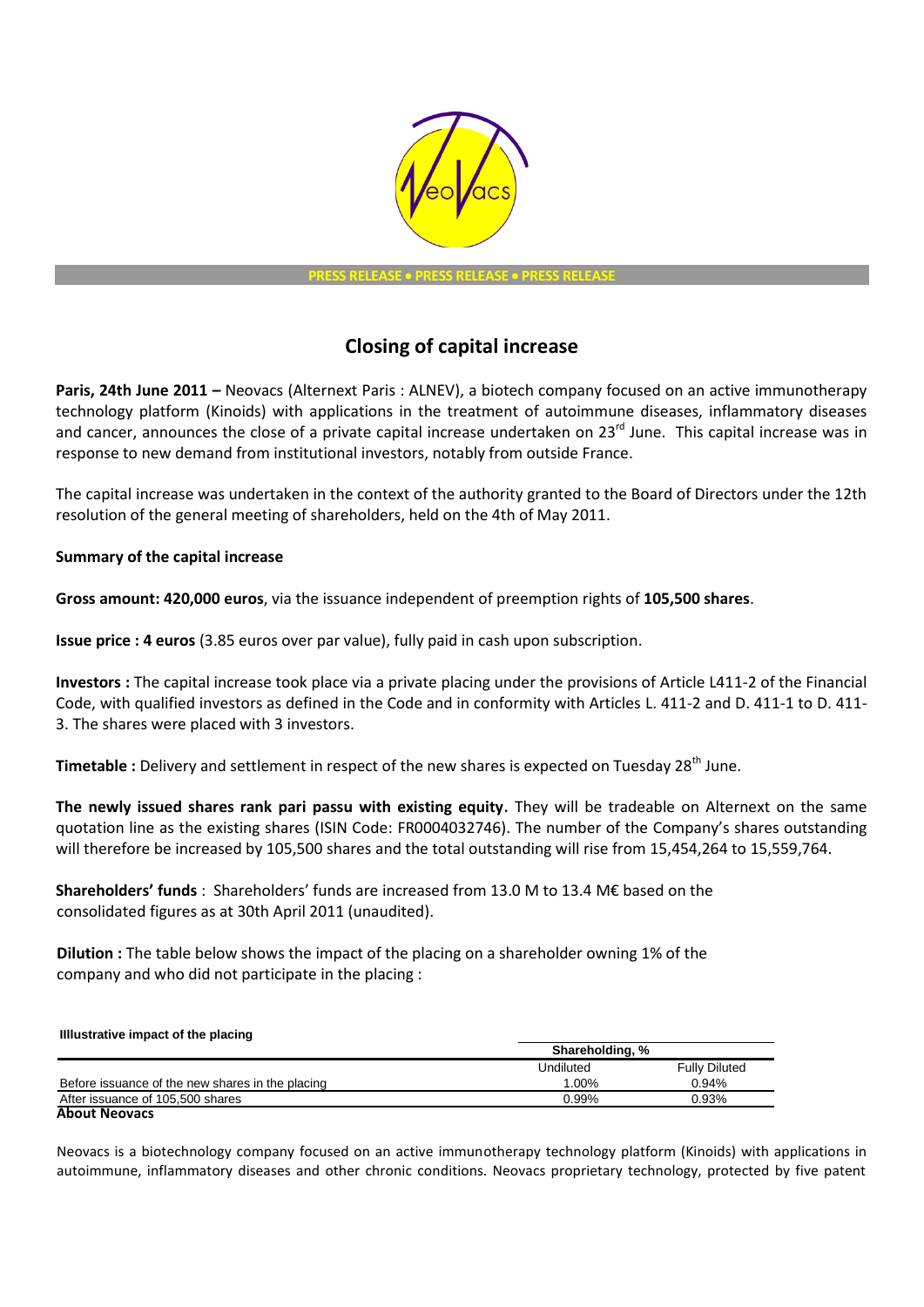

**PRESS RELEASE PRESS RELEASE PRESS RELEASE**

## **Closing of capital increase**

**Paris, 24th June 2011 –** Neovacs (Alternext Paris : ALNEV), a biotech company focused on an active immunotherapy technology platform (Kinoids) with applications in the treatment of autoimmune diseases, inflammatory diseases and cancer, announces the close of a private capital increase undertaken on 23<sup>rd</sup> June. This capital increase was in response to new demand from institutional investors, notably from outside France.

The capital increase was undertaken in the context of the authority granted to the Board of Directors under the 12th resolution of the general meeting of shareholders, held on the 4th of May 2011.

## **Summary of the capital increase**

**Gross amount: 420,000 euros**, via the issuance independent of preemption rights of **105,500 shares**.

**Issue price : 4 euros** (3.85 euros over par value), fully paid in cash upon subscription.

**Investors :** The capital increase took place via a private placing under the provisions of Article L411-2 of the Financial Code, with qualified investors as defined in the Code and in conformity with Articles L. 411-2 and D. 411-1 to D. 411- 3. The shares were placed with 3 investors.

Timetable : Delivery and settlement in respect of the new shares is expected on Tuesday 28<sup>th</sup> June.

**The newly issued shares rank pari passu with existing equity.** They will be tradeable on Alternext on the same quotation line as the existing shares (ISIN Code: FR0004032746). The number of the Company's shares outstanding will therefore be increased by 105,500 shares and the total outstanding will rise from 15,454,264 to 15,559,764.

**Shareholders' funds** : Shareholders' funds are increased from 13.0 M to 13.4 M€ based on the consolidated figures as at 30th April 2011 (unaudited).

**Dilution :** The table below shows the impact of the placing on a shareholder owning 1% of the company and who did not participate in the placing :

| Illustrative impact of the placing               |                 |                      |
|--------------------------------------------------|-----------------|----------------------|
|                                                  | Shareholding, % |                      |
|                                                  | Undiluted       | <b>Fully Diluted</b> |
| Before issuance of the new shares in the placing | 1.00%           | 0.94%                |
| After issuance of 105,500 shares                 | 0.99%           | 0.93%                |
| <b>About Neovacs</b>                             |                 |                      |

Neovacs is a biotechnology company focused on an active immunotherapy technology platform (Kinoids) with applications in autoimmune, inflammatory diseases and other chronic conditions. Neovacs proprietary technology, protected by five patent